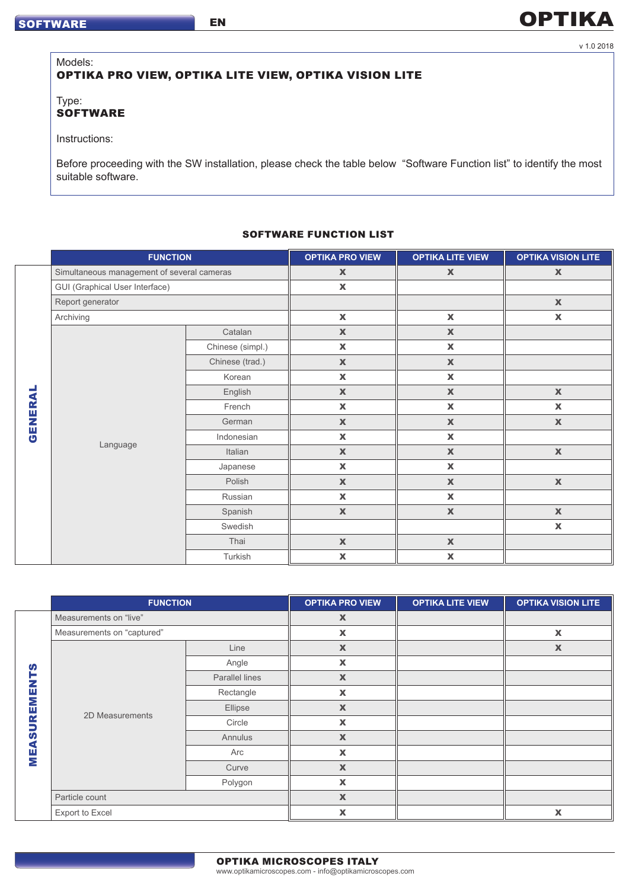# **OPTIKA**

#### v 1.0 2018

## Models: OPTIKA PRO VIEW, OPTIKA LITE VIEW, OPTIKA VISION LITE

EN

Type: **SOFTWARE** 

Instructions:

Before proceeding with the SW installation, please check the table below "Software Function list" to identify the most suitable software.

#### SOFTWARE FUNCTION LIST

|        | <b>FUNCTION</b>                            |                  | <b>OPTIKA PRO VIEW</b>    | <b>OPTIKA LITE VIEW</b> | <b>OPTIKA VISION LITE</b> |
|--------|--------------------------------------------|------------------|---------------------------|-------------------------|---------------------------|
|        | Simultaneous management of several cameras |                  | $\mathbf x$               | $\mathbf x$             | $\mathbf x$               |
|        | <b>GUI (Graphical User Interface)</b>      |                  | $\mathbf x$               |                         |                           |
|        | Report generator                           |                  |                           |                         | $\mathbb X$               |
|        | Archiving                                  |                  | $\pmb{\mathsf{X}}$        | $\mathbf x$             | $\pmb{\mathsf{X}}$        |
|        | Language                                   | Catalan          | $\mathbb X$               | $\mathbb X$             |                           |
|        |                                            | Chinese (simpl.) | $\pmb{\mathsf{X}}$        | $\mathbf x$             |                           |
| GENERA |                                            | Chinese (trad.)  | $\mathbb X$               | $\mathbb X$             |                           |
|        |                                            | Korean           | $\mathbf x$               | $\mathbf x$             |                           |
|        |                                            | English          | $\mathbb X$               | $\mathbf x$             | $\mathbb X$               |
|        |                                            | French           | $\mathbf x$               | $\mathbf x$             | $\pmb{\mathsf{X}}$        |
|        |                                            | German           | $\mathbb X$               | $\mathbf x$             | $\mathbf x$               |
|        |                                            | Indonesian       | $\pmb{\mathsf{X}}$        | $\mathbf x$             |                           |
|        |                                            | Italian          | $\mathbf x$               | $\mathbf x$             | $\mathbb X$               |
|        |                                            | Japanese         | $\mathbf x$               | $\mathbf x$             |                           |
|        |                                            | Polish           | $\mathbb X$               | $\mathbb X$             | $\mathbf x$               |
|        |                                            | Russian          | $\mathbf x$               | $\pmb{\mathsf{X}}$      |                           |
|        |                                            | Spanish          | $\mathbf x$               | $\mathbf x$             | $\mathbf x$               |
|        |                                            | Swedish          |                           |                         | $\mathbf x$               |
|        |                                            | Thai             | $\mathbb X$               | $\mathbf x$             |                           |
|        |                                            | Turkish          | $\boldsymbol{\mathsf{X}}$ | $\mathbf x$             |                           |

|                     | <b>FUNCTION</b>            |                       | <b>OPTIKA PRO VIEW</b>    | <b>OPTIKA LITE VIEW</b> | <b>OPTIKA VISION LITE</b> |
|---------------------|----------------------------|-----------------------|---------------------------|-------------------------|---------------------------|
|                     | Measurements on "live"     |                       | $\pmb{\mathsf{X}}$        |                         |                           |
|                     | Measurements on "captured" |                       | $\pmb{\mathsf{X}}$        |                         | $\pmb{\mathsf{X}}$        |
|                     | 2D Measurements            | Line                  | $\mathbf x$               |                         | $\mathbb X$               |
| ဖာ                  |                            | Angle                 | X                         |                         |                           |
| ۳<br>z              |                            | <b>Parallel lines</b> | $\boldsymbol{\mathsf{x}}$ |                         |                           |
|                     |                            | Rectangle             | $\boldsymbol{\mathsf{x}}$ |                         |                           |
| REME                |                            | Ellipse               | $\boldsymbol{\mathsf{x}}$ |                         |                           |
|                     |                            | Circle                | $\boldsymbol{\mathsf{x}}$ |                         |                           |
| $\overline{5}$<br>€ |                            | Annulus               | $\boldsymbol{\mathsf{X}}$ |                         |                           |
| EM                  |                            | Arc                   | $\boldsymbol{\mathsf{x}}$ |                         |                           |
|                     |                            | Curve                 | $\boldsymbol{\mathsf{X}}$ |                         |                           |
|                     |                            | Polygon               | $\boldsymbol{\mathsf{x}}$ |                         |                           |
|                     | Particle count             |                       | $\boldsymbol{\mathsf{X}}$ |                         |                           |
|                     | Export to Excel            |                       | $\boldsymbol{\mathsf{x}}$ |                         | $\boldsymbol{\mathsf{x}}$ |